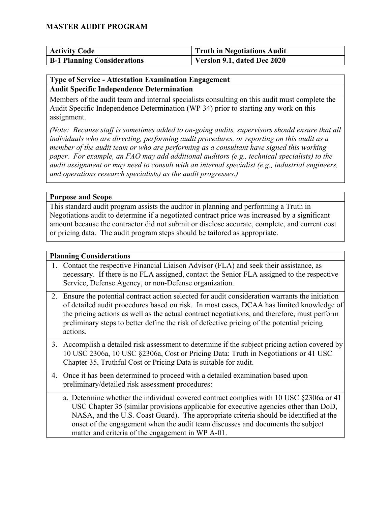| <b>Activity Code</b>               | Truth in Negotiations Audit |
|------------------------------------|-----------------------------|
| <b>B-1 Planning Considerations</b> | Version 9.1, dated Dec 2020 |

#### **Type of Service - Attestation Examination Engagement Audit Specific Independence Determination**

Members of the audit team and internal specialists consulting on this audit must complete the Audit Specific Independence Determination (WP 34) prior to starting any work on this assignment.

*(Note: Because staff is sometimes added to on-going audits, supervisors should ensure that all individuals who are directing, performing audit procedures, or reporting on this audit as a member of the audit team or who are performing as a consultant have signed this working paper. For example, an FAO may add additional auditors (e.g., technical specialists) to the audit assignment or may need to consult with an internal specialist (e.g., industrial engineers, and operations research specialists) as the audit progresses.)* 

**Purpose and Scope**

This standard audit program assists the auditor in planning and performing a Truth in Negotiations audit to determine if a negotiated contract price was increased by a significant amount because the contractor did not submit or disclose accurate, complete, and current cost or pricing data. The audit program steps should be tailored as appropriate.

#### **Planning Considerations**

- 1. Contact the respective Financial Liaison Advisor (FLA) and seek their assistance, as necessary. If there is no FLA assigned, contact the Senior FLA assigned to the respective Service, Defense Agency, or non-Defense organization.
- 2. Ensure the potential contract action selected for audit consideration warrants the initiation of detailed audit procedures based on risk. In most cases, DCAA has limited knowledge of the pricing actions as well as the actual contract negotiations, and therefore, must perform preliminary steps to better define the risk of defective pricing of the potential pricing actions.
- 3. Accomplish a detailed risk assessment to determine if the subject pricing action covered by 10 USC 2306a, 10 USC §2306a, Cost or Pricing Data: Truth in Negotiations or 41 USC Chapter 35, Truthful Cost or Pricing Data is suitable for audit.
- 4. Once it has been determined to proceed with a detailed examination based upon preliminary/detailed risk assessment procedures:
	- a. Determine whether the individual covered contract complies with 10 USC §2306a or 41 USC Chapter 35 (similar provisions applicable for executive agencies other than DoD, NASA, and the U.S. Coast Guard). The appropriate criteria should be identified at the onset of the engagement when the audit team discusses and documents the subject matter and criteria of the engagement in WP A-01.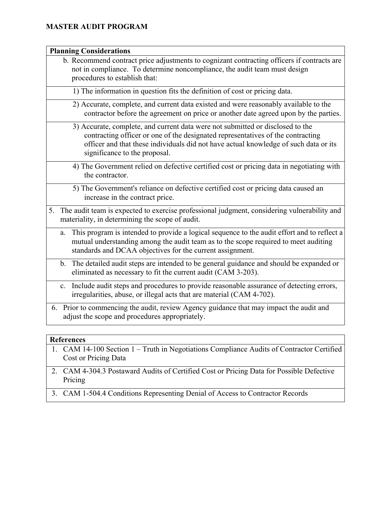| <b>Planning Considerations</b>                                                                                                                                                                                                                                                             |
|--------------------------------------------------------------------------------------------------------------------------------------------------------------------------------------------------------------------------------------------------------------------------------------------|
| b. Recommend contract price adjustments to cognizant contracting officers if contracts are<br>not in compliance. To determine noncompliance, the audit team must design<br>procedures to establish that:                                                                                   |
| 1) The information in question fits the definition of cost or pricing data.                                                                                                                                                                                                                |
| 2) Accurate, complete, and current data existed and were reasonably available to the<br>contractor before the agreement on price or another date agreed upon by the parties.                                                                                                               |
| 3) Accurate, complete, and current data were not submitted or disclosed to the<br>contracting officer or one of the designated representatives of the contracting<br>officer and that these individuals did not have actual knowledge of such data or its<br>significance to the proposal. |
| 4) The Government relied on defective certified cost or pricing data in negotiating with<br>the contractor.                                                                                                                                                                                |
| 5) The Government's reliance on defective certified cost or pricing data caused an<br>increase in the contract price.                                                                                                                                                                      |
| 5. The audit team is expected to exercise professional judgment, considering vulnerability and<br>materiality, in determining the scope of audit.                                                                                                                                          |
| This program is intended to provide a logical sequence to the audit effort and to reflect a<br>a.<br>mutual understanding among the audit team as to the scope required to meet auditing<br>standards and DCAA objectives for the current assignment.                                      |
| The detailed audit steps are intended to be general guidance and should be expanded or<br>b.<br>eliminated as necessary to fit the current audit (CAM 3-203).                                                                                                                              |
| Include audit steps and procedures to provide reasonable assurance of detecting errors,<br>$\mathbf{c}$ .<br>irregularities, abuse, or illegal acts that are material (CAM 4-702).                                                                                                         |
| 6. Prior to commencing the audit, review Agency guidance that may impact the audit and<br>adjust the scope and procedures appropriately.                                                                                                                                                   |

#### **References**

- 1. CAM 14-100 Section 1 Truth in Negotiations Compliance Audits of Contractor Certified Cost or Pricing Data
- 2. CAM 4-304.3 Postaward Audits of Certified Cost or Pricing Data for Possible Defective Pricing
- 3. CAM 1-504.4 Conditions Representing Denial of Access to Contractor Records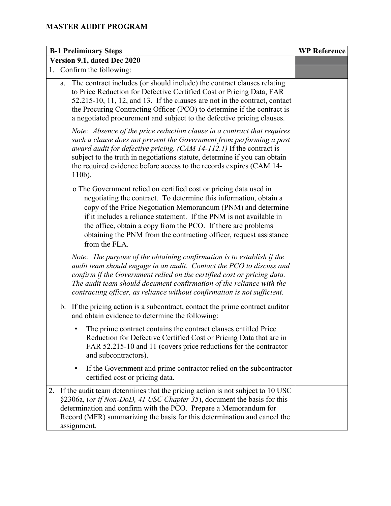| <b>B-1 Preliminary Steps</b>                                                                                                                                                                                                                                                                                                                                                                                                          | <b>WP Reference</b> |
|---------------------------------------------------------------------------------------------------------------------------------------------------------------------------------------------------------------------------------------------------------------------------------------------------------------------------------------------------------------------------------------------------------------------------------------|---------------------|
| Version 9.1, dated Dec 2020                                                                                                                                                                                                                                                                                                                                                                                                           |                     |
| 1. Confirm the following:                                                                                                                                                                                                                                                                                                                                                                                                             |                     |
| The contract includes (or should include) the contract clauses relating<br>a.<br>to Price Reduction for Defective Certified Cost or Pricing Data, FAR<br>52.215-10, 11, 12, and 13. If the clauses are not in the contract, contact<br>the Procuring Contracting Officer (PCO) to determine if the contract is<br>a negotiated procurement and subject to the defective pricing clauses.                                              |                     |
| Note: Absence of the price reduction clause in a contract that requires<br>such a clause does not prevent the Government from performing a post<br>award audit for defective pricing. (CAM 14-112.1) If the contract is<br>subject to the truth in negotiations statute, determine if you can obtain<br>the required evidence before access to the records expires (CAM 14-<br>$110b$ ).                                              |                     |
| o The Government relied on certified cost or pricing data used in<br>negotiating the contract. To determine this information, obtain a<br>copy of the Price Negotiation Memorandum (PNM) and determine<br>if it includes a reliance statement. If the PNM is not available in<br>the office, obtain a copy from the PCO. If there are problems<br>obtaining the PNM from the contracting officer, request assistance<br>from the FLA. |                     |
| Note: The purpose of the obtaining confirmation is to establish if the<br>audit team should engage in an audit. Contact the PCO to discuss and<br>confirm if the Government relied on the certified cost or pricing data.<br>The audit team should document confirmation of the reliance with the<br>contracting officer, as reliance without confirmation is not sufficient.                                                         |                     |
| If the pricing action is a subcontract, contact the prime contract auditor<br>b.<br>and obtain evidence to determine the following:                                                                                                                                                                                                                                                                                                   |                     |
| The prime contract contains the contract clauses entitled Price<br>Reduction for Defective Certified Cost or Pricing Data that are in<br>FAR 52.215-10 and 11 (covers price reductions for the contractor<br>and subcontractors).                                                                                                                                                                                                     |                     |
| If the Government and prime contractor relied on the subcontractor<br>$\bullet$<br>certified cost or pricing data.                                                                                                                                                                                                                                                                                                                    |                     |
| 2. If the audit team determines that the pricing action is not subject to 10 USC<br>§2306a, (or if Non-DoD, 41 USC Chapter 35), document the basis for this<br>determination and confirm with the PCO. Prepare a Memorandum for<br>Record (MFR) summarizing the basis for this determination and cancel the<br>assignment.                                                                                                            |                     |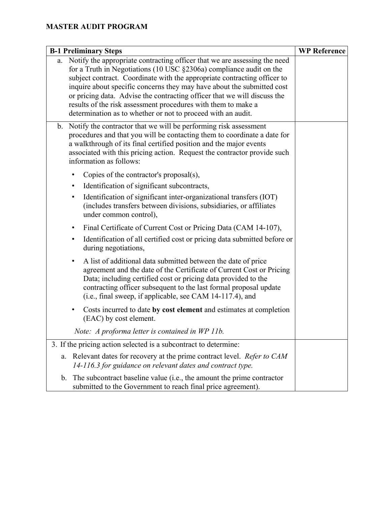| <b>B-1 Preliminary Steps</b>                                                                                                                                                                                                                                                                                                                                                                                                                                                                                           | <b>WP Reference</b> |
|------------------------------------------------------------------------------------------------------------------------------------------------------------------------------------------------------------------------------------------------------------------------------------------------------------------------------------------------------------------------------------------------------------------------------------------------------------------------------------------------------------------------|---------------------|
| a. Notify the appropriate contracting officer that we are assessing the need<br>for a Truth in Negotiations (10 USC §2306a) compliance audit on the<br>subject contract. Coordinate with the appropriate contracting officer to<br>inquire about specific concerns they may have about the submitted cost<br>or pricing data. Advise the contracting officer that we will discuss the<br>results of the risk assessment procedures with them to make a<br>determination as to whether or not to proceed with an audit. |                     |
| Notify the contractor that we will be performing risk assessment<br>b.<br>procedures and that you will be contacting them to coordinate a date for<br>a walkthrough of its final certified position and the major events<br>associated with this pricing action. Request the contractor provide such<br>information as follows:                                                                                                                                                                                        |                     |
| Copies of the contractor's proposal $(s)$ ,                                                                                                                                                                                                                                                                                                                                                                                                                                                                            |                     |
| Identification of significant subcontracts,<br>$\bullet$                                                                                                                                                                                                                                                                                                                                                                                                                                                               |                     |
| Identification of significant inter-organizational transfers (IOT)<br>٠<br>(includes transfers between divisions, subsidiaries, or affiliates<br>under common control),                                                                                                                                                                                                                                                                                                                                                |                     |
| Final Certificate of Current Cost or Pricing Data (CAM 14-107),<br>٠                                                                                                                                                                                                                                                                                                                                                                                                                                                   |                     |
| Identification of all certified cost or pricing data submitted before or<br>٠<br>during negotiations,                                                                                                                                                                                                                                                                                                                                                                                                                  |                     |
| A list of additional data submitted between the date of price<br>٠<br>agreement and the date of the Certificate of Current Cost or Pricing<br>Data; including certified cost or pricing data provided to the<br>contracting officer subsequent to the last formal proposal update<br>(i.e., final sweep, if applicable, see CAM 14-117.4), and                                                                                                                                                                         |                     |
| Costs incurred to date by cost element and estimates at completion<br>٠<br>(EAC) by cost element.                                                                                                                                                                                                                                                                                                                                                                                                                      |                     |
| Note: A proforma letter is contained in WP 11b.                                                                                                                                                                                                                                                                                                                                                                                                                                                                        |                     |
| 3. If the pricing action selected is a subcontract to determine:                                                                                                                                                                                                                                                                                                                                                                                                                                                       |                     |
| Relevant dates for recovery at the prime contract level. Refer to CAM<br>a.<br>14-116.3 for guidance on relevant dates and contract type.                                                                                                                                                                                                                                                                                                                                                                              |                     |
| The subcontract baseline value (i.e., the amount the prime contractor<br>b.<br>submitted to the Government to reach final price agreement).                                                                                                                                                                                                                                                                                                                                                                            |                     |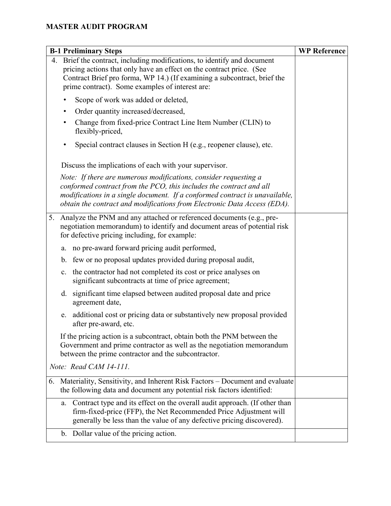| <b>B-1 Preliminary Steps</b>                                                                                                                                                                                                                                                                       | <b>WP Reference</b> |
|----------------------------------------------------------------------------------------------------------------------------------------------------------------------------------------------------------------------------------------------------------------------------------------------------|---------------------|
| 4. Brief the contract, including modifications, to identify and document<br>pricing actions that only have an effect on the contract price. (See<br>Contract Brief pro forma, WP 14.) (If examining a subcontract, brief the<br>prime contract). Some examples of interest are:                    |                     |
| Scope of work was added or deleted,                                                                                                                                                                                                                                                                |                     |
| Order quantity increased/decreased,                                                                                                                                                                                                                                                                |                     |
| Change from fixed-price Contract Line Item Number (CLIN) to<br>٠<br>flexibly-priced,                                                                                                                                                                                                               |                     |
| Special contract clauses in Section H (e.g., reopener clause), etc.<br>٠                                                                                                                                                                                                                           |                     |
| Discuss the implications of each with your supervisor.                                                                                                                                                                                                                                             |                     |
| Note: If there are numerous modifications, consider requesting a<br>conformed contract from the PCO, this includes the contract and all<br>modifications in a single document. If a conformed contract is unavailable,<br>obtain the contract and modifications from Electronic Data Access (EDA). |                     |
| 5. Analyze the PNM and any attached or referenced documents (e.g., pre-<br>negotiation memorandum) to identify and document areas of potential risk<br>for defective pricing including, for example:                                                                                               |                     |
| no pre-award forward pricing audit performed,<br>a.                                                                                                                                                                                                                                                |                     |
| few or no proposal updates provided during proposal audit,<br>$\mathbf{b}$ .                                                                                                                                                                                                                       |                     |
| the contractor had not completed its cost or price analyses on<br>c.<br>significant subcontracts at time of price agreement;                                                                                                                                                                       |                     |
| significant time elapsed between audited proposal date and price<br>d.<br>agreement date,                                                                                                                                                                                                          |                     |
| additional cost or pricing data or substantively new proposal provided<br>e.<br>after pre-award, etc.                                                                                                                                                                                              |                     |
| If the pricing action is a subcontract, obtain both the PNM between the<br>Government and prime contractor as well as the negotiation memorandum<br>between the prime contractor and the subcontractor.                                                                                            |                     |
| Note: Read CAM 14-111.                                                                                                                                                                                                                                                                             |                     |
| 6. Materiality, Sensitivity, and Inherent Risk Factors - Document and evaluate<br>the following data and document any potential risk factors identified:                                                                                                                                           |                     |
| Contract type and its effect on the overall audit approach. (If other than<br>a.<br>firm-fixed-price (FFP), the Net Recommended Price Adjustment will<br>generally be less than the value of any defective pricing discovered).                                                                    |                     |
| b. Dollar value of the pricing action.                                                                                                                                                                                                                                                             |                     |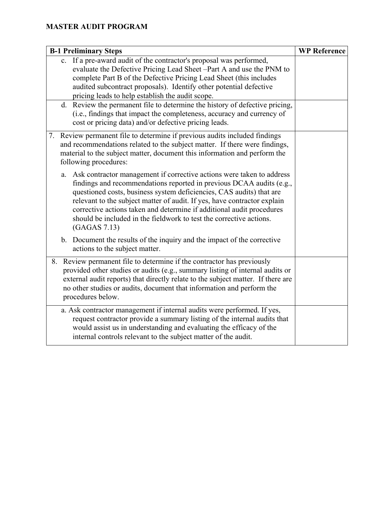| <b>B-1 Preliminary Steps</b>                                                                                                                                                                                                                                                                                                                                                                                                                                                                                                                                  | <b>WP Reference</b> |
|---------------------------------------------------------------------------------------------------------------------------------------------------------------------------------------------------------------------------------------------------------------------------------------------------------------------------------------------------------------------------------------------------------------------------------------------------------------------------------------------------------------------------------------------------------------|---------------------|
| c. If a pre-award audit of the contractor's proposal was performed,<br>evaluate the Defective Pricing Lead Sheet -Part A and use the PNM to<br>complete Part B of the Defective Pricing Lead Sheet (this includes<br>audited subcontract proposals). Identify other potential defective<br>pricing leads to help establish the audit scope.<br>d. Review the permanent file to determine the history of defective pricing,<br>(i.e., findings that impact the completeness, accuracy and currency of<br>cost or pricing data) and/or defective pricing leads. |                     |
| 7. Review permanent file to determine if previous audits included findings<br>and recommendations related to the subject matter. If there were findings,<br>material to the subject matter, document this information and perform the<br>following procedures:                                                                                                                                                                                                                                                                                                |                     |
| a. Ask contractor management if corrective actions were taken to address<br>findings and recommendations reported in previous DCAA audits (e.g.,<br>questioned costs, business system deficiencies, CAS audits) that are<br>relevant to the subject matter of audit. If yes, have contractor explain<br>corrective actions taken and determine if additional audit procedures<br>should be included in the fieldwork to test the corrective actions.<br>(GAGAS 7.13)                                                                                          |                     |
| b. Document the results of the inquiry and the impact of the corrective<br>actions to the subject matter.                                                                                                                                                                                                                                                                                                                                                                                                                                                     |                     |
| Review permanent file to determine if the contractor has previously<br>8.<br>provided other studies or audits (e.g., summary listing of internal audits or<br>external audit reports) that directly relate to the subject matter. If there are<br>no other studies or audits, document that information and perform the<br>procedures below.                                                                                                                                                                                                                  |                     |
| a. Ask contractor management if internal audits were performed. If yes,<br>request contractor provide a summary listing of the internal audits that<br>would assist us in understanding and evaluating the efficacy of the<br>internal controls relevant to the subject matter of the audit.                                                                                                                                                                                                                                                                  |                     |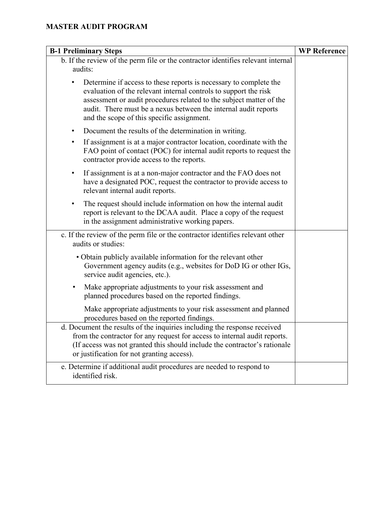| <b>B-1 Preliminary Steps</b>                                                                                                                                                                                                                                                                                                  | <b>WP Reference</b> |
|-------------------------------------------------------------------------------------------------------------------------------------------------------------------------------------------------------------------------------------------------------------------------------------------------------------------------------|---------------------|
| b. If the review of the perm file or the contractor identifies relevant internal<br>audits:                                                                                                                                                                                                                                   |                     |
| Determine if access to these reports is necessary to complete the<br>evaluation of the relevant internal controls to support the risk<br>assessment or audit procedures related to the subject matter of the<br>audit. There must be a nexus between the internal audit reports<br>and the scope of this specific assignment. |                     |
| Document the results of the determination in writing.<br>٠                                                                                                                                                                                                                                                                    |                     |
| If assignment is at a major contractor location, coordinate with the<br>٠<br>FAO point of contact (POC) for internal audit reports to request the<br>contractor provide access to the reports.                                                                                                                                |                     |
| If assignment is at a non-major contractor and the FAO does not<br>٠<br>have a designated POC, request the contractor to provide access to<br>relevant internal audit reports.                                                                                                                                                |                     |
| The request should include information on how the internal audit<br>٠<br>report is relevant to the DCAA audit. Place a copy of the request<br>in the assignment administrative working papers.                                                                                                                                |                     |
| c. If the review of the perm file or the contractor identifies relevant other<br>audits or studies:                                                                                                                                                                                                                           |                     |
| • Obtain publicly available information for the relevant other<br>Government agency audits (e.g., websites for DoD IG or other IGs,<br>service audit agencies, etc.).                                                                                                                                                         |                     |
| Make appropriate adjustments to your risk assessment and<br>٠<br>planned procedures based on the reported findings.                                                                                                                                                                                                           |                     |
| Make appropriate adjustments to your risk assessment and planned<br>procedures based on the reported findings.                                                                                                                                                                                                                |                     |
| d. Document the results of the inquiries including the response received<br>from the contractor for any request for access to internal audit reports.<br>(If access was not granted this should include the contractor's rationale<br>or justification for not granting access).                                              |                     |
| e. Determine if additional audit procedures are needed to respond to<br>identified risk.                                                                                                                                                                                                                                      |                     |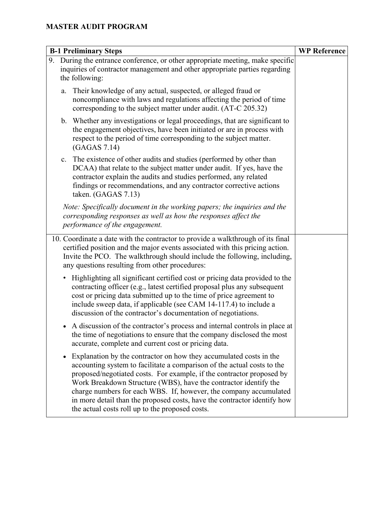| <b>B-1 Preliminary Steps</b>                                                                                                                                                                                                                                                                                                                                                                                                                                                                                |  |
|-------------------------------------------------------------------------------------------------------------------------------------------------------------------------------------------------------------------------------------------------------------------------------------------------------------------------------------------------------------------------------------------------------------------------------------------------------------------------------------------------------------|--|
| 9. During the entrance conference, or other appropriate meeting, make specific<br>inquiries of contractor management and other appropriate parties regarding<br>the following:                                                                                                                                                                                                                                                                                                                              |  |
| Their knowledge of any actual, suspected, or alleged fraud or<br>a.<br>noncompliance with laws and regulations affecting the period of time<br>corresponding to the subject matter under audit. (AT-C 205.32)                                                                                                                                                                                                                                                                                               |  |
| b. Whether any investigations or legal proceedings, that are significant to<br>the engagement objectives, have been initiated or are in process with<br>respect to the period of time corresponding to the subject matter.<br>(GAGAS 7.14)                                                                                                                                                                                                                                                                  |  |
| The existence of other audits and studies (performed by other than<br>c.<br>DCAA) that relate to the subject matter under audit. If yes, have the<br>contractor explain the audits and studies performed, any related<br>findings or recommendations, and any contractor corrective actions<br>taken. (GAGAS 7.13)                                                                                                                                                                                          |  |
| Note: Specifically document in the working papers; the inquiries and the<br>corresponding responses as well as how the responses affect the<br>performance of the engagement.                                                                                                                                                                                                                                                                                                                               |  |
| 10. Coordinate a date with the contractor to provide a walkthrough of its final<br>certified position and the major events associated with this pricing action.<br>Invite the PCO. The walkthrough should include the following, including,<br>any questions resulting from other procedures:                                                                                                                                                                                                               |  |
| Highlighting all significant certified cost or pricing data provided to the<br>$\bullet$<br>contracting officer (e.g., latest certified proposal plus any subsequent<br>cost or pricing data submitted up to the time of price agreement to<br>include sweep data, if applicable (see CAM 14-117.4) to include a<br>discussion of the contractor's documentation of negotiations.                                                                                                                           |  |
| A discussion of the contractor's process and internal controls in place at<br>the time of negotiations to ensure that the company disclosed the most<br>accurate, complete and current cost or pricing data.                                                                                                                                                                                                                                                                                                |  |
| Explanation by the contractor on how they accumulated costs in the<br>$\bullet$<br>accounting system to facilitate a comparison of the actual costs to the<br>proposed/negotiated costs. For example, if the contractor proposed by<br>Work Breakdown Structure (WBS), have the contractor identify the<br>charge numbers for each WBS. If, however, the company accumulated<br>in more detail than the proposed costs, have the contractor identify how<br>the actual costs roll up to the proposed costs. |  |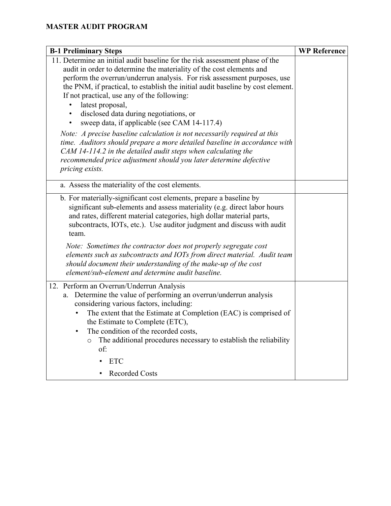| <b>B-1 Preliminary Steps</b>                                                                                                                                                                                                                                                                                                                                                                                                          | <b>WP Reference</b> |
|---------------------------------------------------------------------------------------------------------------------------------------------------------------------------------------------------------------------------------------------------------------------------------------------------------------------------------------------------------------------------------------------------------------------------------------|---------------------|
| 11. Determine an initial audit baseline for the risk assessment phase of the<br>audit in order to determine the materiality of the cost elements and                                                                                                                                                                                                                                                                                  |                     |
| perform the overrun/underrun analysis. For risk assessment purposes, use<br>the PNM, if practical, to establish the initial audit baseline by cost element.<br>If not practical, use any of the following:                                                                                                                                                                                                                            |                     |
| latest proposal,<br>disclosed data during negotiations, or<br>sweep data, if applicable (see CAM 14-117.4)<br>$\bullet$                                                                                                                                                                                                                                                                                                               |                     |
| Note: A precise baseline calculation is not necessarily required at this<br>time. Auditors should prepare a more detailed baseline in accordance with<br>CAM 14-114.2 in the detailed audit steps when calculating the<br>recommended price adjustment should you later determine defective<br>pricing exists.                                                                                                                        |                     |
| a. Assess the materiality of the cost elements.                                                                                                                                                                                                                                                                                                                                                                                       |                     |
| b. For materially-significant cost elements, prepare a baseline by<br>significant sub-elements and assess materiality (e.g. direct labor hours<br>and rates, different material categories, high dollar material parts,<br>subcontracts, IOTs, etc.). Use auditor judgment and discuss with audit<br>team.                                                                                                                            |                     |
| Note: Sometimes the contractor does not properly segregate cost<br>elements such as subcontracts and IOTs from direct material. Audit team<br>should document their understanding of the make-up of the cost<br>element/sub-element and determine audit baseline.                                                                                                                                                                     |                     |
| 12. Perform an Overrun/Underrun Analysis<br>a. Determine the value of performing an overrun/underrun analysis<br>considering various factors, including:<br>The extent that the Estimate at Completion (EAC) is comprised of<br>$\bullet$<br>the Estimate to Complete (ETC),<br>The condition of the recorded costs,<br>$\bullet$<br>The additional procedures necessary to establish the reliability<br>$\circ$<br>of:<br><b>ETC</b> |                     |
| <b>Recorded Costs</b>                                                                                                                                                                                                                                                                                                                                                                                                                 |                     |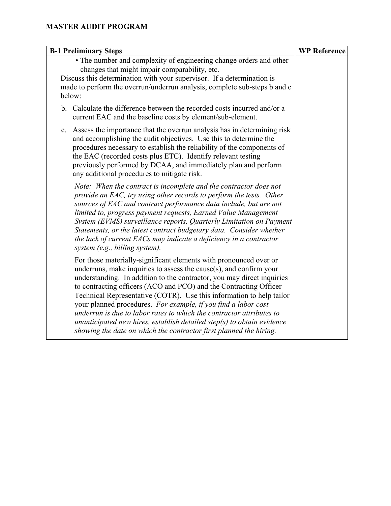| <b>B-1 Preliminary Steps</b>                                                                                                                                                                                                                                                                                                                                                                                                                                                                                                                                                                                                                                 | <b>WP Reference</b> |
|--------------------------------------------------------------------------------------------------------------------------------------------------------------------------------------------------------------------------------------------------------------------------------------------------------------------------------------------------------------------------------------------------------------------------------------------------------------------------------------------------------------------------------------------------------------------------------------------------------------------------------------------------------------|---------------------|
| • The number and complexity of engineering change orders and other<br>changes that might impair comparability, etc.<br>Discuss this determination with your supervisor. If a determination is<br>made to perform the overrun/underrun analysis, complete sub-steps b and c<br>below:                                                                                                                                                                                                                                                                                                                                                                         |                     |
| b. Calculate the difference between the recorded costs incurred and/or a<br>current EAC and the baseline costs by element/sub-element.                                                                                                                                                                                                                                                                                                                                                                                                                                                                                                                       |                     |
| Assess the importance that the overrun analysis has in determining risk<br>c.<br>and accomplishing the audit objectives. Use this to determine the<br>procedures necessary to establish the reliability of the components of<br>the EAC (recorded costs plus ETC). Identify relevant testing<br>previously performed by DCAA, and immediately plan and perform<br>any additional procedures to mitigate risk.                                                                                                                                                                                                                                                |                     |
| Note: When the contract is incomplete and the contractor does not<br>provide an EAC, try using other records to perform the tests. Other<br>sources of EAC and contract performance data include, but are not<br>limited to, progress payment requests, Earned Value Management<br>System (EVMS) surveillance reports, Quarterly Limitation on Payment<br>Statements, or the latest contract budgetary data. Consider whether<br>the lack of current EACs may indicate a deficiency in a contractor<br>system (e.g., billing system).                                                                                                                        |                     |
| For those materially-significant elements with pronounced over or<br>underruns, make inquiries to assess the cause $(s)$ , and confirm your<br>understanding. In addition to the contractor, you may direct inquiries<br>to contracting officers (ACO and PCO) and the Contracting Officer<br>Technical Representative (COTR). Use this information to help tailor<br>your planned procedures. For example, if you find a labor cost<br>underrun is due to labor rates to which the contractor attributes to<br>unanticipated new hires, establish detailed step(s) to obtain evidence<br>showing the date on which the contractor first planned the hiring. |                     |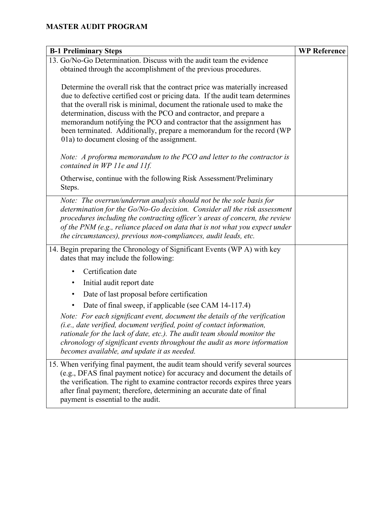| <b>B-1 Preliminary Steps</b>                                                                                                                                                                                                                                                                                                                                                                                                                                                                                                                                                                                                                                                                   | <b>WP Reference</b> |
|------------------------------------------------------------------------------------------------------------------------------------------------------------------------------------------------------------------------------------------------------------------------------------------------------------------------------------------------------------------------------------------------------------------------------------------------------------------------------------------------------------------------------------------------------------------------------------------------------------------------------------------------------------------------------------------------|---------------------|
| 13. Go/No-Go Determination. Discuss with the audit team the evidence                                                                                                                                                                                                                                                                                                                                                                                                                                                                                                                                                                                                                           |                     |
| obtained through the accomplishment of the previous procedures.                                                                                                                                                                                                                                                                                                                                                                                                                                                                                                                                                                                                                                |                     |
| Determine the overall risk that the contract price was materially increased<br>due to defective certified cost or pricing data. If the audit team determines<br>that the overall risk is minimal, document the rationale used to make the<br>determination, discuss with the PCO and contractor, and prepare a<br>memorandum notifying the PCO and contractor that the assignment has<br>been terminated. Additionally, prepare a memorandum for the record (WP<br>01a) to document closing of the assignment.<br>Note: A proforma memorandum to the PCO and letter to the contractor is<br>contained in WP 11e and 11f.<br>Otherwise, continue with the following Risk Assessment/Preliminary |                     |
| Steps.                                                                                                                                                                                                                                                                                                                                                                                                                                                                                                                                                                                                                                                                                         |                     |
| Note: The overrun/underrun analysis should not be the sole basis for<br>determination for the Go/No-Go decision. Consider all the risk assessment<br>procedures including the contracting officer's areas of concern, the review<br>of the PNM (e.g., reliance placed on data that is not what you expect under<br>the circumstances), previous non-compliances, audit leads, etc.                                                                                                                                                                                                                                                                                                             |                     |
| 14. Begin preparing the Chronology of Significant Events (WP A) with key<br>dates that may include the following:                                                                                                                                                                                                                                                                                                                                                                                                                                                                                                                                                                              |                     |
| Certification date<br>٠                                                                                                                                                                                                                                                                                                                                                                                                                                                                                                                                                                                                                                                                        |                     |
| Initial audit report date<br>٠                                                                                                                                                                                                                                                                                                                                                                                                                                                                                                                                                                                                                                                                 |                     |
| Date of last proposal before certification<br>٠                                                                                                                                                                                                                                                                                                                                                                                                                                                                                                                                                                                                                                                |                     |
| Date of final sweep, if applicable (see CAM 14-117.4)                                                                                                                                                                                                                                                                                                                                                                                                                                                                                                                                                                                                                                          |                     |
| Note: For each significant event, document the details of the verification<br>(i.e., date verified, document verified, point of contact information,<br>rationale for the lack of date, etc.). The audit team should monitor the<br>chronology of significant events throughout the audit as more information<br>becomes available, and update it as needed.                                                                                                                                                                                                                                                                                                                                   |                     |
| 15. When verifying final payment, the audit team should verify several sources<br>(e.g., DFAS final payment notice) for accuracy and document the details of<br>the verification. The right to examine contractor records expires three years<br>after final payment; therefore, determining an accurate date of final<br>payment is essential to the audit.                                                                                                                                                                                                                                                                                                                                   |                     |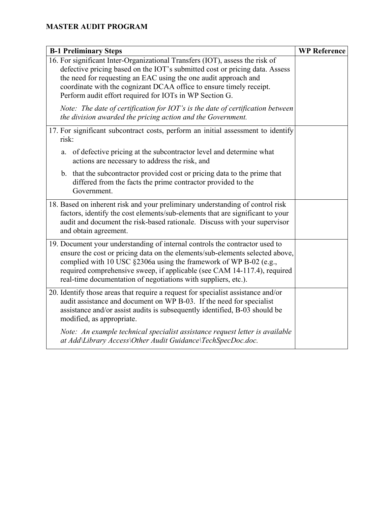| <b>B-1 Preliminary Steps</b>                                                                                                                                                                                                                                                                                                                                                   | <b>WP Reference</b> |
|--------------------------------------------------------------------------------------------------------------------------------------------------------------------------------------------------------------------------------------------------------------------------------------------------------------------------------------------------------------------------------|---------------------|
| 16. For significant Inter-Organizational Transfers (IOT), assess the risk of<br>defective pricing based on the IOT's submitted cost or pricing data. Assess<br>the need for requesting an EAC using the one audit approach and<br>coordinate with the cognizant DCAA office to ensure timely receipt.<br>Perform audit effort required for IOTs in WP Section G.               |                     |
| Note: The date of certification for IOT's is the date of certification between<br>the division awarded the pricing action and the Government.                                                                                                                                                                                                                                  |                     |
| 17. For significant subcontract costs, perform an initial assessment to identify<br>risk:                                                                                                                                                                                                                                                                                      |                     |
| a. of defective pricing at the subcontractor level and determine what<br>actions are necessary to address the risk, and                                                                                                                                                                                                                                                        |                     |
| b. that the subcontractor provided cost or pricing data to the prime that<br>differed from the facts the prime contractor provided to the<br>Government.                                                                                                                                                                                                                       |                     |
| 18. Based on inherent risk and your preliminary understanding of control risk<br>factors, identify the cost elements/sub-elements that are significant to your<br>audit and document the risk-based rationale. Discuss with your supervisor<br>and obtain agreement.                                                                                                           |                     |
| 19. Document your understanding of internal controls the contractor used to<br>ensure the cost or pricing data on the elements/sub-elements selected above,<br>complied with 10 USC §2306a using the framework of WP B-02 (e.g.,<br>required comprehensive sweep, if applicable (see CAM 14-117.4), required<br>real-time documentation of negotiations with suppliers, etc.). |                     |
| 20. Identify those areas that require a request for specialist assistance and/or<br>audit assistance and document on WP B-03. If the need for specialist<br>assistance and/or assist audits is subsequently identified, B-03 should be<br>modified, as appropriate.                                                                                                            |                     |
| Note: An example technical specialist assistance request letter is available<br>at Add\Library Access\Other Audit Guidance\TechSpecDoc.doc.                                                                                                                                                                                                                                    |                     |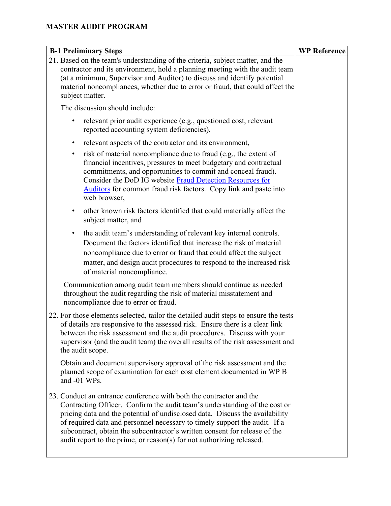| <b>B-1 Preliminary Steps</b>                                                                                                                                                                                                                                                                                                                                                                                                                                           | <b>WP Reference</b> |
|------------------------------------------------------------------------------------------------------------------------------------------------------------------------------------------------------------------------------------------------------------------------------------------------------------------------------------------------------------------------------------------------------------------------------------------------------------------------|---------------------|
| 21. Based on the team's understanding of the criteria, subject matter, and the<br>contractor and its environment, hold a planning meeting with the audit team<br>(at a minimum, Supervisor and Auditor) to discuss and identify potential<br>material noncompliances, whether due to error or fraud, that could affect the<br>subject matter.                                                                                                                          |                     |
| The discussion should include:                                                                                                                                                                                                                                                                                                                                                                                                                                         |                     |
| relevant prior audit experience (e.g., questioned cost, relevant<br>reported accounting system deficiencies),                                                                                                                                                                                                                                                                                                                                                          |                     |
| relevant aspects of the contractor and its environment,<br>٠                                                                                                                                                                                                                                                                                                                                                                                                           |                     |
| risk of material noncompliance due to fraud (e.g., the extent of<br>٠<br>financial incentives, pressures to meet budgetary and contractual<br>commitments, and opportunities to commit and conceal fraud).<br>Consider the DoD IG website Fraud Detection Resources for<br>Auditors for common fraud risk factors. Copy link and paste into<br>web browser,                                                                                                            |                     |
| other known risk factors identified that could materially affect the<br>$\bullet$<br>subject matter, and                                                                                                                                                                                                                                                                                                                                                               |                     |
| the audit team's understanding of relevant key internal controls.<br>٠<br>Document the factors identified that increase the risk of material<br>noncompliance due to error or fraud that could affect the subject<br>matter, and design audit procedures to respond to the increased risk<br>of material noncompliance.                                                                                                                                                |                     |
| Communication among audit team members should continue as needed<br>throughout the audit regarding the risk of material misstatement and<br>noncompliance due to error or fraud.                                                                                                                                                                                                                                                                                       |                     |
| 22. For those elements selected, tailor the detailed audit steps to ensure the tests<br>of details are responsive to the assessed risk. Ensure there is a clear link<br>between the risk assessment and the audit procedures. Discuss with your<br>supervisor (and the audit team) the overall results of the risk assessment and<br>the audit scope.                                                                                                                  |                     |
| Obtain and document supervisory approval of the risk assessment and the<br>planned scope of examination for each cost element documented in WP B<br>and -01 WPs.                                                                                                                                                                                                                                                                                                       |                     |
| 23. Conduct an entrance conference with both the contractor and the<br>Contracting Officer. Confirm the audit team's understanding of the cost or<br>pricing data and the potential of undisclosed data. Discuss the availability<br>of required data and personnel necessary to timely support the audit. If a<br>subcontract, obtain the subcontractor's written consent for release of the<br>audit report to the prime, or reason(s) for not authorizing released. |                     |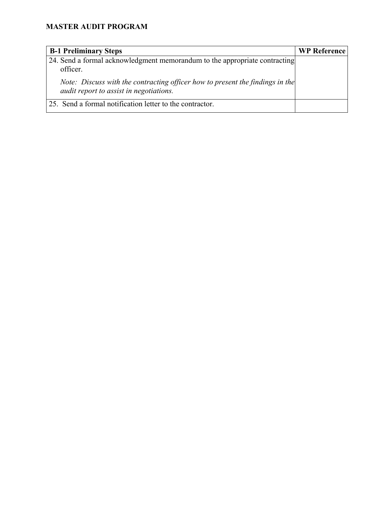| <b>B-1 Preliminary Steps</b>                                                                                             | <b>WP Reference</b> |
|--------------------------------------------------------------------------------------------------------------------------|---------------------|
| 24. Send a formal acknowledgment memorandum to the appropriate contracting<br>officer.                                   |                     |
| Note: Discuss with the contracting officer how to present the findings in the<br>audit report to assist in negotiations. |                     |
| 25. Send a formal notification letter to the contractor.                                                                 |                     |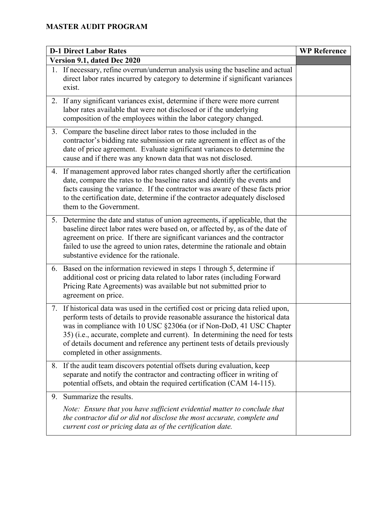|    | <b>D-1 Direct Labor Rates</b>                                                                                                                                                                                                                                                                                                                                                                                                               | <b>WP Reference</b> |
|----|---------------------------------------------------------------------------------------------------------------------------------------------------------------------------------------------------------------------------------------------------------------------------------------------------------------------------------------------------------------------------------------------------------------------------------------------|---------------------|
|    | Version 9.1, dated Dec 2020                                                                                                                                                                                                                                                                                                                                                                                                                 |                     |
|    | 1. If necessary, refine overrun/underrun analysis using the baseline and actual<br>direct labor rates incurred by category to determine if significant variances<br>exist.                                                                                                                                                                                                                                                                  |                     |
|    | 2. If any significant variances exist, determine if there were more current<br>labor rates available that were not disclosed or if the underlying<br>composition of the employees within the labor category changed.                                                                                                                                                                                                                        |                     |
|    | 3. Compare the baseline direct labor rates to those included in the<br>contractor's bidding rate submission or rate agreement in effect as of the<br>date of price agreement. Evaluate significant variances to determine the<br>cause and if there was any known data that was not disclosed.                                                                                                                                              |                     |
|    | 4. If management approved labor rates changed shortly after the certification<br>date, compare the rates to the baseline rates and identify the events and<br>facts causing the variance. If the contractor was aware of these facts prior<br>to the certification date, determine if the contractor adequately disclosed<br>them to the Government.                                                                                        |                     |
|    | 5. Determine the date and status of union agreements, if applicable, that the<br>baseline direct labor rates were based on, or affected by, as of the date of<br>agreement on price. If there are significant variances and the contractor<br>failed to use the agreed to union rates, determine the rationale and obtain<br>substantive evidence for the rationale.                                                                        |                     |
|    | 6. Based on the information reviewed in steps 1 through 5, determine if<br>additional cost or pricing data related to labor rates (including Forward<br>Pricing Rate Agreements) was available but not submitted prior to<br>agreement on price.                                                                                                                                                                                            |                     |
|    | 7. If historical data was used in the certified cost or pricing data relied upon,<br>perform tests of details to provide reasonable assurance the historical data<br>was in compliance with 10 USC §2306a (or if Non-DoD, 41 USC Chapter<br>35) (i.e., accurate, complete and current). In determining the need for tests<br>of details document and reference any pertinent tests of details previously<br>completed in other assignments. |                     |
|    | 8. If the audit team discovers potential offsets during evaluation, keep<br>separate and notify the contractor and contracting officer in writing of<br>potential offsets, and obtain the required certification (CAM 14-115).                                                                                                                                                                                                              |                     |
| 9. | Summarize the results.                                                                                                                                                                                                                                                                                                                                                                                                                      |                     |
|    | Note: Ensure that you have sufficient evidential matter to conclude that<br>the contractor did or did not disclose the most accurate, complete and<br>current cost or pricing data as of the certification date.                                                                                                                                                                                                                            |                     |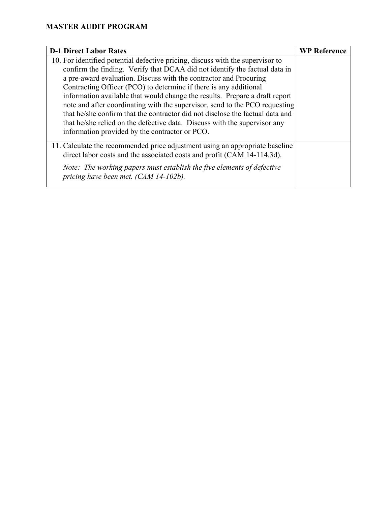| <b>D-1 Direct Labor Rates</b>                                                                                                                           | <b>WP Reference</b> |
|---------------------------------------------------------------------------------------------------------------------------------------------------------|---------------------|
| 10. For identified potential defective pricing, discuss with the supervisor to                                                                          |                     |
| confirm the finding. Verify that DCAA did not identify the factual data in                                                                              |                     |
| a pre-award evaluation. Discuss with the contractor and Procuring                                                                                       |                     |
| Contracting Officer (PCO) to determine if there is any additional                                                                                       |                     |
| information available that would change the results. Prepare a draft report                                                                             |                     |
| note and after coordinating with the supervisor, send to the PCO requesting                                                                             |                     |
| that he/she confirm that the contractor did not disclose the factual data and                                                                           |                     |
| that he/she relied on the defective data. Discuss with the supervisor any                                                                               |                     |
| information provided by the contractor or PCO.                                                                                                          |                     |
| 11. Calculate the recommended price adjustment using an appropriate baseline<br>direct labor costs and the associated costs and profit (CAM 14-114.3d). |                     |
| Note: The working papers must establish the five elements of defective<br>pricing have been met. (CAM 14-102b).                                         |                     |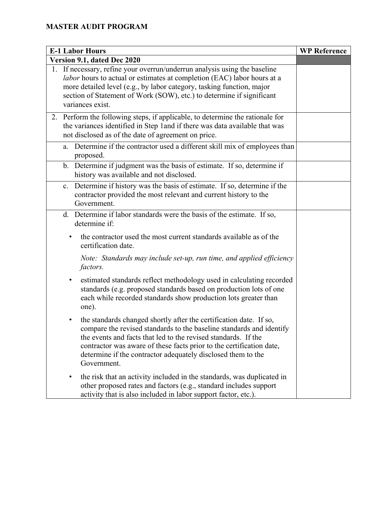| <b>E-1 Labor Hours</b>                                                                                                                                                                                                                                                                                                                                                           | <b>WP Reference</b> |
|----------------------------------------------------------------------------------------------------------------------------------------------------------------------------------------------------------------------------------------------------------------------------------------------------------------------------------------------------------------------------------|---------------------|
| Version 9.1, dated Dec 2020                                                                                                                                                                                                                                                                                                                                                      |                     |
| 1. If necessary, refine your overrun/underrun analysis using the baseline<br><i>labor</i> hours to actual or estimates at completion (EAC) labor hours at a<br>more detailed level (e.g., by labor category, tasking function, major<br>section of Statement of Work (SOW), etc.) to determine if significant<br>variances exist.                                                |                     |
| 2. Perform the following steps, if applicable, to determine the rationale for<br>the variances identified in Step 1 and if there was data available that was<br>not disclosed as of the date of agreement on price.                                                                                                                                                              |                     |
| Determine if the contractor used a different skill mix of employees than<br>a.<br>proposed.                                                                                                                                                                                                                                                                                      |                     |
| b. Determine if judgment was the basis of estimate. If so, determine if<br>history was available and not disclosed.                                                                                                                                                                                                                                                              |                     |
| Determine if history was the basis of estimate. If so, determine if the<br>c.<br>contractor provided the most relevant and current history to the<br>Government.                                                                                                                                                                                                                 |                     |
| d. Determine if labor standards were the basis of the estimate. If so,<br>determine if:                                                                                                                                                                                                                                                                                          |                     |
| the contractor used the most current standards available as of the<br>٠<br>certification date.                                                                                                                                                                                                                                                                                   |                     |
| Note: Standards may include set-up, run time, and applied efficiency<br>factors.                                                                                                                                                                                                                                                                                                 |                     |
| estimated standards reflect methodology used in calculating recorded<br>٠<br>standards (e.g. proposed standards based on production lots of one<br>each while recorded standards show production lots greater than<br>one).                                                                                                                                                      |                     |
| the standards changed shortly after the certification date. If so,<br>$\bullet$<br>compare the revised standards to the baseline standards and identify<br>the events and facts that led to the revised standards. If the<br>contractor was aware of these facts prior to the certification date,<br>determine if the contractor adequately disclosed them to the<br>Government. |                     |
| the risk that an activity included in the standards, was duplicated in<br>٠<br>other proposed rates and factors (e.g., standard includes support<br>activity that is also included in labor support factor, etc.).                                                                                                                                                               |                     |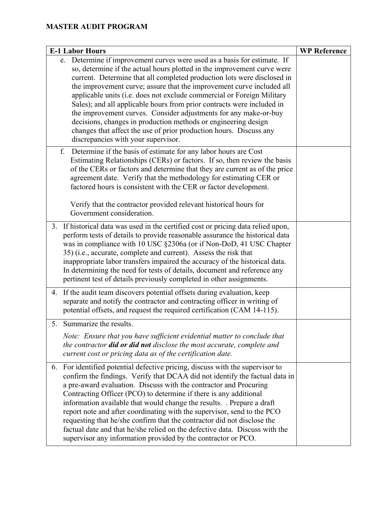| <b>E-1 Labor Hours</b>                                                                                                                                                                                                                                                                                                                                                                                                                                                                                                                                                                                                                                                                                         | <b>WP Reference</b> |
|----------------------------------------------------------------------------------------------------------------------------------------------------------------------------------------------------------------------------------------------------------------------------------------------------------------------------------------------------------------------------------------------------------------------------------------------------------------------------------------------------------------------------------------------------------------------------------------------------------------------------------------------------------------------------------------------------------------|---------------------|
| e. Determine if improvement curves were used as a basis for estimate. If<br>so, determine if the actual hours plotted in the improvement curve were<br>current. Determine that all completed production lots were disclosed in<br>the improvement curve; assure that the improvement curve included all<br>applicable units (i.e. does not exclude commercial or Foreign Military<br>Sales); and all applicable hours from prior contracts were included in<br>the improvement curves. Consider adjustments for any make-or-buy<br>decisions, changes in production methods or engineering design<br>changes that affect the use of prior production hours. Discuss any<br>discrepancies with your supervisor. |                     |
| Determine if the basis of estimate for any labor hours are Cost<br>f.<br>Estimating Relationships (CERs) or factors. If so, then review the basis<br>of the CERs or factors and determine that they are current as of the price<br>agreement date. Verify that the methodology for estimating CER or<br>factored hours is consistent with the CER or factor development.<br>Verify that the contractor provided relevant historical hours for<br>Government consideration.                                                                                                                                                                                                                                     |                     |
| 3. If historical data was used in the certified cost or pricing data relied upon,<br>perform tests of details to provide reasonable assurance the historical data<br>was in compliance with 10 USC §2306a (or if Non-DoD, 41 USC Chapter<br>35) (i.e., accurate, complete and current). Assess the risk that<br>inappropriate labor transfers impaired the accuracy of the historical data.<br>In determining the need for tests of details, document and reference any<br>pertinent test of details previously completed in other assignments.                                                                                                                                                                |                     |
| 4. If the audit team discovers potential offsets during evaluation, keep<br>separate and notify the contractor and contracting officer in writing of<br>potential offsets, and request the required certification (CAM 14-115).                                                                                                                                                                                                                                                                                                                                                                                                                                                                                |                     |
| Summarize the results.<br>5.<br>Note: Ensure that you have sufficient evidential matter to conclude that<br>the contractor <b>did or did not</b> disclose the most accurate, complete and<br>current cost or pricing data as of the certification date.                                                                                                                                                                                                                                                                                                                                                                                                                                                        |                     |
| 6. For identified potential defective pricing, discuss with the supervisor to<br>confirm the findings. Verify that DCAA did not identify the factual data in<br>a pre-award evaluation. Discuss with the contractor and Procuring<br>Contracting Officer (PCO) to determine if there is any additional<br>information available that would change the results. Prepare a draft<br>report note and after coordinating with the supervisor, send to the PCO<br>requesting that he/she confirm that the contractor did not disclose the<br>factual date and that he/she relied on the defective data. Discuss with the<br>supervisor any information provided by the contractor or PCO.                           |                     |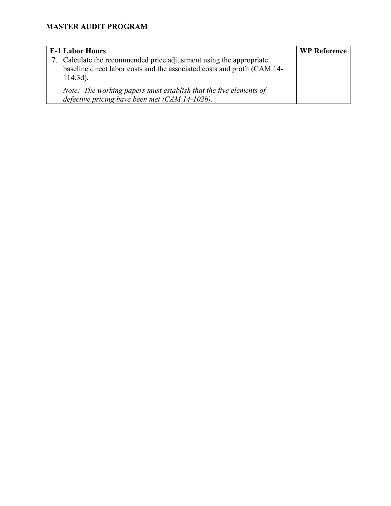| <b>E-1 Labor Hours</b>                                                                                                                                         | <b>WP Reference</b> |
|----------------------------------------------------------------------------------------------------------------------------------------------------------------|---------------------|
| 7. Calculate the recommended price adjustment using the appropriate<br>baseline direct labor costs and the associated costs and profit (CAM 14-<br>$114.3d$ ). |                     |
| Note: The working papers must establish that the five elements of<br>defective pricing have been met (CAM 14-102b).                                            |                     |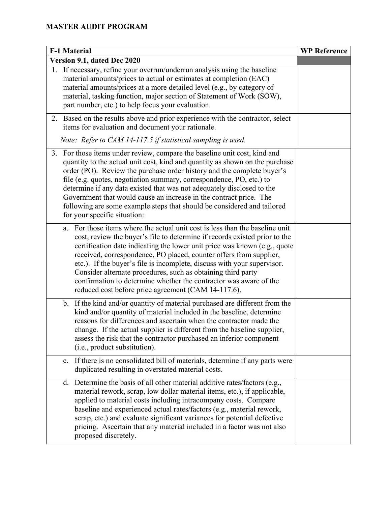| <b>F-1 Material</b>                                                                                                                                                                                                                                                                                                                                                                                                                                                                                                                                                                     | <b>WP Reference</b> |
|-----------------------------------------------------------------------------------------------------------------------------------------------------------------------------------------------------------------------------------------------------------------------------------------------------------------------------------------------------------------------------------------------------------------------------------------------------------------------------------------------------------------------------------------------------------------------------------------|---------------------|
| Version 9.1, dated Dec 2020                                                                                                                                                                                                                                                                                                                                                                                                                                                                                                                                                             |                     |
| 1. If necessary, refine your overrun/underrun analysis using the baseline<br>material amounts/prices to actual or estimates at completion (EAC)<br>material amounts/prices at a more detailed level (e.g., by category of<br>material, tasking function, major section of Statement of Work (SOW),<br>part number, etc.) to help focus your evaluation.                                                                                                                                                                                                                                 |                     |
| 2. Based on the results above and prior experience with the contractor, select<br>items for evaluation and document your rationale.                                                                                                                                                                                                                                                                                                                                                                                                                                                     |                     |
| Note: Refer to CAM 14-117.5 if statistical sampling is used.                                                                                                                                                                                                                                                                                                                                                                                                                                                                                                                            |                     |
| 3. For those items under review, compare the baseline unit cost, kind and<br>quantity to the actual unit cost, kind and quantity as shown on the purchase<br>order (PO). Review the purchase order history and the complete buyer's<br>file (e.g. quotes, negotiation summary, correspondence, PO, etc.) to<br>determine if any data existed that was not adequately disclosed to the<br>Government that would cause an increase in the contract price. The<br>following are some example steps that should be considered and tailored<br>for your specific situation:                  |                     |
| For those items where the actual unit cost is less than the baseline unit<br>a.<br>cost, review the buyer's file to determine if records existed prior to the<br>certification date indicating the lower unit price was known (e.g., quote<br>received, correspondence, PO placed, counter offers from supplier,<br>etc.). If the buyer's file is incomplete, discuss with your supervisor.<br>Consider alternate procedures, such as obtaining third party<br>confirmation to determine whether the contractor was aware of the<br>reduced cost before price agreement (CAM 14-117.6). |                     |
| b. If the kind and/or quantity of material purchased are different from the<br>kind and/or quantity of material included in the baseline, determine<br>reasons for differences and ascertain when the contractor made the<br>change. If the actual supplier is different from the baseline supplier,<br>assess the risk that the contractor purchased an inferior component<br>(i.e., product substitution).                                                                                                                                                                            |                     |
| c. If there is no consolidated bill of materials, determine if any parts were<br>duplicated resulting in overstated material costs.                                                                                                                                                                                                                                                                                                                                                                                                                                                     |                     |
| Determine the basis of all other material additive rates/factors (e.g.,<br>$d_{\cdot}$<br>material rework, scrap, low dollar material items, etc.), if applicable,<br>applied to material costs including intracompany costs. Compare<br>baseline and experienced actual rates/factors (e.g., material rework,<br>scrap, etc.) and evaluate significant variances for potential defective<br>pricing. Ascertain that any material included in a factor was not also<br>proposed discretely.                                                                                             |                     |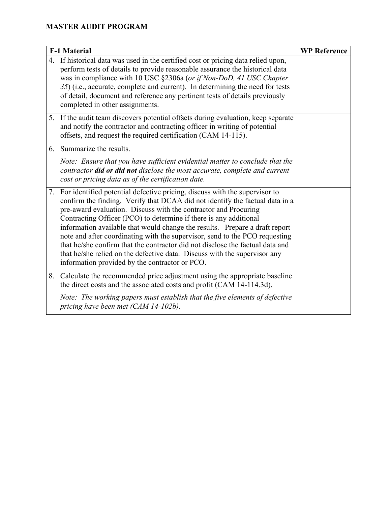| <b>F-1 Material</b>                                                                                                                                                                                                                                                                                                                                                                                                                                                                                                                                                                                                                                                                 | <b>WP Reference</b> |
|-------------------------------------------------------------------------------------------------------------------------------------------------------------------------------------------------------------------------------------------------------------------------------------------------------------------------------------------------------------------------------------------------------------------------------------------------------------------------------------------------------------------------------------------------------------------------------------------------------------------------------------------------------------------------------------|---------------------|
| 4. If historical data was used in the certified cost or pricing data relied upon,<br>perform tests of details to provide reasonable assurance the historical data<br>was in compliance with 10 USC §2306a (or if Non-DoD, 41 USC Chapter<br>35) (i.e., accurate, complete and current). In determining the need for tests<br>of detail, document and reference any pertinent tests of details previously<br>completed in other assignments.                                                                                                                                                                                                                                         |                     |
| 5. If the audit team discovers potential offsets during evaluation, keep separate<br>and notify the contractor and contracting officer in writing of potential<br>offsets, and request the required certification (CAM 14-115).                                                                                                                                                                                                                                                                                                                                                                                                                                                     |                     |
| 6. Summarize the results.                                                                                                                                                                                                                                                                                                                                                                                                                                                                                                                                                                                                                                                           |                     |
| Note: Ensure that you have sufficient evidential matter to conclude that the<br>contractor did or did not disclose the most accurate, complete and current<br>cost or pricing data as of the certification date.                                                                                                                                                                                                                                                                                                                                                                                                                                                                    |                     |
| 7. For identified potential defective pricing, discuss with the supervisor to<br>confirm the finding. Verify that DCAA did not identify the factual data in a<br>pre-award evaluation. Discuss with the contractor and Procuring<br>Contracting Officer (PCO) to determine if there is any additional<br>information available that would change the results. Prepare a draft report<br>note and after coordinating with the supervisor, send to the PCO requesting<br>that he/she confirm that the contractor did not disclose the factual data and<br>that he/she relied on the defective data. Discuss with the supervisor any<br>information provided by the contractor or PCO. |                     |
| 8. Calculate the recommended price adjustment using the appropriate baseline<br>the direct costs and the associated costs and profit (CAM 14-114.3d).                                                                                                                                                                                                                                                                                                                                                                                                                                                                                                                               |                     |
| Note: The working papers must establish that the five elements of defective<br>pricing have been met (CAM 14-102b).                                                                                                                                                                                                                                                                                                                                                                                                                                                                                                                                                                 |                     |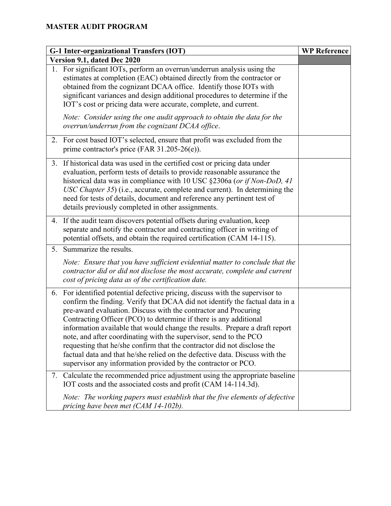| G-1 Inter-organizational Transfers (IOT) |                                                                                                                                                                                                                                                                                                                                                                                                                                                                                                                                                                                                                                                                                   | <b>WP Reference</b> |
|------------------------------------------|-----------------------------------------------------------------------------------------------------------------------------------------------------------------------------------------------------------------------------------------------------------------------------------------------------------------------------------------------------------------------------------------------------------------------------------------------------------------------------------------------------------------------------------------------------------------------------------------------------------------------------------------------------------------------------------|---------------------|
|                                          | Version 9.1, dated Dec 2020                                                                                                                                                                                                                                                                                                                                                                                                                                                                                                                                                                                                                                                       |                     |
|                                          | 1. For significant IOTs, perform an overrun/underrun analysis using the<br>estimates at completion (EAC) obtained directly from the contractor or<br>obtained from the cognizant DCAA office. Identify those IOTs with<br>significant variances and design additional procedures to determine if the<br>IOT's cost or pricing data were accurate, complete, and current.<br>Note: Consider using the one audit approach to obtain the data for the                                                                                                                                                                                                                                |                     |
|                                          | overrun/underrun from the cognizant DCAA office.                                                                                                                                                                                                                                                                                                                                                                                                                                                                                                                                                                                                                                  |                     |
|                                          | 2. For cost based IOT's selected, ensure that profit was excluded from the<br>prime contractor's price (FAR $31.205-26(e)$ ).                                                                                                                                                                                                                                                                                                                                                                                                                                                                                                                                                     |                     |
|                                          | 3. If historical data was used in the certified cost or pricing data under<br>evaluation, perform tests of details to provide reasonable assurance the<br>historical data was in compliance with 10 USC §2306a (or if Non-DoD, 41<br>USC Chapter 35) (i.e., accurate, complete and current). In determining the<br>need for tests of details, document and reference any pertinent test of<br>details previously completed in other assignments.                                                                                                                                                                                                                                  |                     |
|                                          | 4. If the audit team discovers potential offsets during evaluation, keep<br>separate and notify the contractor and contracting officer in writing of<br>potential offsets, and obtain the required certification (CAM 14-115).                                                                                                                                                                                                                                                                                                                                                                                                                                                    |                     |
| 5.                                       | Summarize the results.                                                                                                                                                                                                                                                                                                                                                                                                                                                                                                                                                                                                                                                            |                     |
|                                          | Note: Ensure that you have sufficient evidential matter to conclude that the<br>contractor did or did not disclose the most accurate, complete and current<br>cost of pricing data as of the certification date.                                                                                                                                                                                                                                                                                                                                                                                                                                                                  |                     |
| 6.                                       | For identified potential defective pricing, discuss with the supervisor to<br>confirm the finding. Verify that DCAA did not identify the factual data in a<br>pre-award evaluation. Discuss with the contractor and Procuring<br>Contracting Officer (PCO) to determine if there is any additional<br>information available that would change the results. Prepare a draft report<br>note, and after coordinating with the supervisor, send to the PCO<br>requesting that he/she confirm that the contractor did not disclose the<br>factual data and that he/she relied on the defective data. Discuss with the<br>supervisor any information provided by the contractor or PCO. |                     |
| 7.                                       | Calculate the recommended price adjustment using the appropriate baseline<br>IOT costs and the associated costs and profit (CAM 14-114.3d).                                                                                                                                                                                                                                                                                                                                                                                                                                                                                                                                       |                     |
|                                          | Note: The working papers must establish that the five elements of defective<br>pricing have been met (CAM 14-102b).                                                                                                                                                                                                                                                                                                                                                                                                                                                                                                                                                               |                     |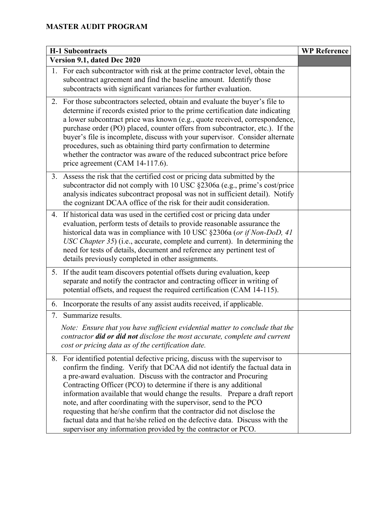|    | <b>H-1 Subcontracts</b>                                                                                                                                                                                                                                                                                                                                                                                                                                                                                                                                                                                                                                                              | <b>WP Reference</b> |
|----|--------------------------------------------------------------------------------------------------------------------------------------------------------------------------------------------------------------------------------------------------------------------------------------------------------------------------------------------------------------------------------------------------------------------------------------------------------------------------------------------------------------------------------------------------------------------------------------------------------------------------------------------------------------------------------------|---------------------|
|    | Version 9.1, dated Dec 2020                                                                                                                                                                                                                                                                                                                                                                                                                                                                                                                                                                                                                                                          |                     |
|    | 1. For each subcontractor with risk at the prime contractor level, obtain the<br>subcontract agreement and find the baseline amount. Identify those<br>subcontracts with significant variances for further evaluation.                                                                                                                                                                                                                                                                                                                                                                                                                                                               |                     |
|    | 2. For those subcontractors selected, obtain and evaluate the buyer's file to<br>determine if records existed prior to the prime certification date indicating<br>a lower subcontract price was known (e.g., quote received, correspondence,<br>purchase order (PO) placed, counter offers from subcontractor, etc.). If the<br>buyer's file is incomplete, discuss with your supervisor. Consider alternate<br>procedures, such as obtaining third party confirmation to determine<br>whether the contractor was aware of the reduced subcontract price before<br>price agreement (CAM 14-117.6).                                                                                   |                     |
|    | 3. Assess the risk that the certified cost or pricing data submitted by the<br>subcontractor did not comply with 10 USC §2306a (e.g., prime's cost/price<br>analysis indicates subcontract proposal was not in sufficient detail). Notify<br>the cognizant DCAA office of the risk for their audit consideration.                                                                                                                                                                                                                                                                                                                                                                    |                     |
|    | 4. If historical data was used in the certified cost or pricing data under<br>evaluation, perform tests of details to provide reasonable assurance the<br>historical data was in compliance with 10 USC §2306a (or if Non-DoD, 41<br>USC Chapter 35) (i.e., accurate, complete and current). In determining the<br>need for tests of details, document and reference any pertinent test of<br>details previously completed in other assignments.                                                                                                                                                                                                                                     |                     |
|    | 5. If the audit team discovers potential offsets during evaluation, keep<br>separate and notify the contractor and contracting officer in writing of<br>potential offsets, and request the required certification (CAM 14-115).                                                                                                                                                                                                                                                                                                                                                                                                                                                      |                     |
| 6. | Incorporate the results of any assist audits received, if applicable.                                                                                                                                                                                                                                                                                                                                                                                                                                                                                                                                                                                                                |                     |
| 7. | Summarize results.<br>Note: Ensure that you have sufficient evidential matter to conclude that the<br>contractor did or did not disclose the most accurate, complete and current<br>cost or pricing data as of the certification date.                                                                                                                                                                                                                                                                                                                                                                                                                                               |                     |
|    | 8. For identified potential defective pricing, discuss with the supervisor to<br>confirm the finding. Verify that DCAA did not identify the factual data in<br>a pre-award evaluation. Discuss with the contractor and Procuring<br>Contracting Officer (PCO) to determine if there is any additional<br>information available that would change the results. Prepare a draft report<br>note, and after coordinating with the supervisor, send to the PCO<br>requesting that he/she confirm that the contractor did not disclose the<br>factual data and that he/she relied on the defective data. Discuss with the<br>supervisor any information provided by the contractor or PCO. |                     |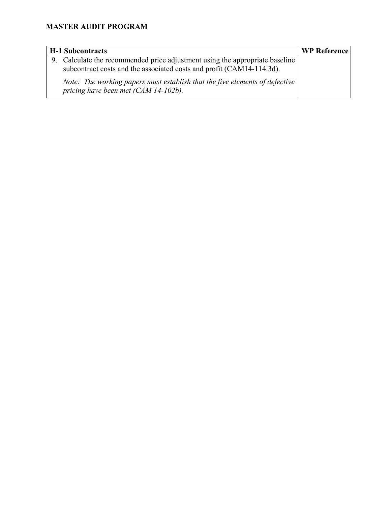| <b>H-1 Subcontracts</b>                                                                                                                               | <b>WP Reference</b> |
|-------------------------------------------------------------------------------------------------------------------------------------------------------|---------------------|
| 9. Calculate the recommended price adjustment using the appropriate baseline<br>subcontract costs and the associated costs and profit (CAM14-114.3d). |                     |
| Note: The working papers must establish that the five elements of defective<br>pricing have been met (CAM 14-102b).                                   |                     |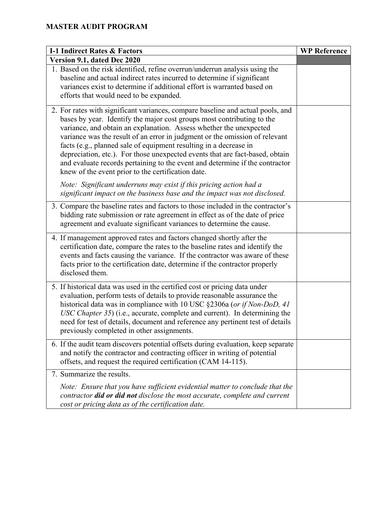| <b>I-1 Indirect Rates &amp; Factors</b>                                                                                                                                                                                                                                                                                                                                                                                                                                                                                                                                                                   | <b>WP Reference</b> |
|-----------------------------------------------------------------------------------------------------------------------------------------------------------------------------------------------------------------------------------------------------------------------------------------------------------------------------------------------------------------------------------------------------------------------------------------------------------------------------------------------------------------------------------------------------------------------------------------------------------|---------------------|
| Version 9.1, dated Dec 2020                                                                                                                                                                                                                                                                                                                                                                                                                                                                                                                                                                               |                     |
| 1. Based on the risk identified, refine overrun/underrun analysis using the<br>baseline and actual indirect rates incurred to determine if significant<br>variances exist to determine if additional effort is warranted based on<br>efforts that would need to be expanded.                                                                                                                                                                                                                                                                                                                              |                     |
| 2. For rates with significant variances, compare baseline and actual pools, and<br>bases by year. Identify the major cost groups most contributing to the<br>variance, and obtain an explanation. Assess whether the unexpected<br>variance was the result of an error in judgment or the omission of relevant<br>facts (e.g., planned sale of equipment resulting in a decrease in<br>depreciation, etc.). For those unexpected events that are fact-based, obtain<br>and evaluate records pertaining to the event and determine if the contractor<br>knew of the event prior to the certification date. |                     |
| Note: Significant underruns may exist if this pricing action had a<br>significant impact on the business base and the impact was not disclosed.                                                                                                                                                                                                                                                                                                                                                                                                                                                           |                     |
| 3. Compare the baseline rates and factors to those included in the contractor's<br>bidding rate submission or rate agreement in effect as of the date of price<br>agreement and evaluate significant variances to determine the cause.                                                                                                                                                                                                                                                                                                                                                                    |                     |
| 4. If management approved rates and factors changed shortly after the<br>certification date, compare the rates to the baseline rates and identify the<br>events and facts causing the variance. If the contractor was aware of these<br>facts prior to the certification date, determine if the contractor properly<br>disclosed them.                                                                                                                                                                                                                                                                    |                     |
| 5. If historical data was used in the certified cost or pricing data under<br>evaluation, perform tests of details to provide reasonable assurance the<br>historical data was in compliance with 10 USC §2306a (or if Non-DoD, 41<br>USC Chapter 35) (i.e., accurate, complete and current). In determining the<br>need for test of details, document and reference any pertinent test of details<br>previously completed in other assignments.                                                                                                                                                           |                     |
| 6. If the audit team discovers potential offsets during evaluation, keep separate<br>and notify the contractor and contracting officer in writing of potential<br>offsets, and request the required certification (CAM 14-115).                                                                                                                                                                                                                                                                                                                                                                           |                     |
| 7. Summarize the results.                                                                                                                                                                                                                                                                                                                                                                                                                                                                                                                                                                                 |                     |
| Note: Ensure that you have sufficient evidential matter to conclude that the<br>contractor <b>did or did not</b> disclose the most accurate, complete and current<br>cost or pricing data as of the certification date.                                                                                                                                                                                                                                                                                                                                                                                   |                     |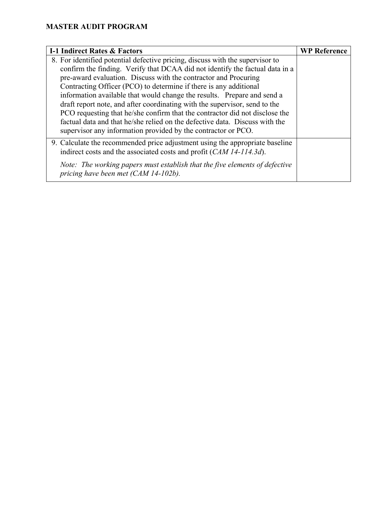| <b>I-1 Indirect Rates &amp; Factors</b>                                                                             | <b>WP Reference</b> |
|---------------------------------------------------------------------------------------------------------------------|---------------------|
| 8. For identified potential defective pricing, discuss with the supervisor to                                       |                     |
| confirm the finding. Verify that DCAA did not identify the factual data in a                                        |                     |
| pre-award evaluation. Discuss with the contractor and Procuring                                                     |                     |
| Contracting Officer (PCO) to determine if there is any additional                                                   |                     |
| information available that would change the results. Prepare and send a                                             |                     |
| draft report note, and after coordinating with the supervisor, send to the                                          |                     |
| PCO requesting that he/she confirm that the contractor did not disclose the                                         |                     |
| factual data and that he/she relied on the defective data. Discuss with the                                         |                     |
| supervisor any information provided by the contractor or PCO.                                                       |                     |
| 9. Calculate the recommended price adjustment using the appropriate baseline                                        |                     |
| indirect costs and the associated costs and profit (CAM 14-114.3d).                                                 |                     |
| Note: The working papers must establish that the five elements of defective<br>pricing have been met (CAM 14-102b). |                     |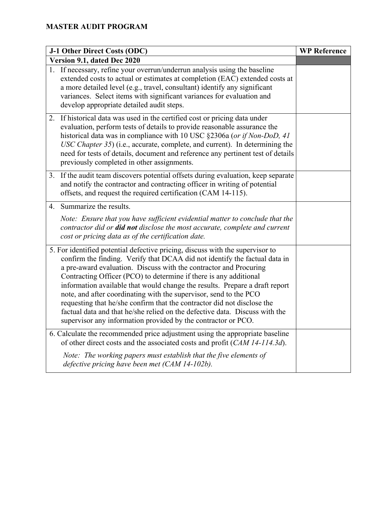| J-1 Other Direct Costs (ODC)                                                                                                                                                                                                                                                                                                                                                                                                                                                                                                                                                                                                                                                         | <b>WP Reference</b> |
|--------------------------------------------------------------------------------------------------------------------------------------------------------------------------------------------------------------------------------------------------------------------------------------------------------------------------------------------------------------------------------------------------------------------------------------------------------------------------------------------------------------------------------------------------------------------------------------------------------------------------------------------------------------------------------------|---------------------|
| Version 9.1, dated Dec 2020                                                                                                                                                                                                                                                                                                                                                                                                                                                                                                                                                                                                                                                          |                     |
| 1. If necessary, refine your overrun/underrun analysis using the baseline<br>extended costs to actual or estimates at completion (EAC) extended costs at<br>a more detailed level (e.g., travel, consultant) identify any significant<br>variances. Select items with significant variances for evaluation and<br>develop appropriate detailed audit steps.                                                                                                                                                                                                                                                                                                                          |                     |
| 2. If historical data was used in the certified cost or pricing data under<br>evaluation, perform tests of details to provide reasonable assurance the<br>historical data was in compliance with 10 USC §2306a (or if Non-DoD, 41<br>USC Chapter 35) (i.e., accurate, complete, and current). In determining the<br>need for tests of details, document and reference any pertinent test of details<br>previously completed in other assignments.                                                                                                                                                                                                                                    |                     |
| 3. If the audit team discovers potential offsets during evaluation, keep separate<br>and notify the contractor and contracting officer in writing of potential<br>offsets, and request the required certification (CAM 14-115).                                                                                                                                                                                                                                                                                                                                                                                                                                                      |                     |
| 4. Summarize the results.                                                                                                                                                                                                                                                                                                                                                                                                                                                                                                                                                                                                                                                            |                     |
| Note: Ensure that you have sufficient evidential matter to conclude that the<br>contractor did or did not disclose the most accurate, complete and current<br>cost or pricing data as of the certification date.                                                                                                                                                                                                                                                                                                                                                                                                                                                                     |                     |
| 5. For identified potential defective pricing, discuss with the supervisor to<br>confirm the finding. Verify that DCAA did not identify the factual data in<br>a pre-award evaluation. Discuss with the contractor and Procuring<br>Contracting Officer (PCO) to determine if there is any additional<br>information available that would change the results. Prepare a draft report<br>note, and after coordinating with the supervisor, send to the PCO<br>requesting that he/she confirm that the contractor did not disclose the<br>factual data and that he/she relied on the defective data. Discuss with the<br>supervisor any information provided by the contractor or PCO. |                     |
| 6. Calculate the recommended price adjustment using the appropriate baseline<br>of other direct costs and the associated costs and profit (CAM 14-114.3d).                                                                                                                                                                                                                                                                                                                                                                                                                                                                                                                           |                     |
| Note: The working papers must establish that the five elements of<br>defective pricing have been met (CAM 14-102b).                                                                                                                                                                                                                                                                                                                                                                                                                                                                                                                                                                  |                     |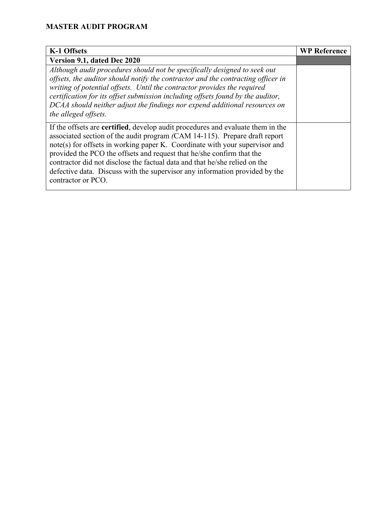| K-1 Offsets                                                                                                                                                                                                                                                                                                                                                                                                                                                                                                      | <b>WP Reference</b> |
|------------------------------------------------------------------------------------------------------------------------------------------------------------------------------------------------------------------------------------------------------------------------------------------------------------------------------------------------------------------------------------------------------------------------------------------------------------------------------------------------------------------|---------------------|
| Version 9.1, dated Dec 2020                                                                                                                                                                                                                                                                                                                                                                                                                                                                                      |                     |
| Although audit procedures should not be specifically designed to seek out<br>offsets, the auditor should notify the contractor and the contracting officer in<br>writing of potential offsets. Until the contractor provides the required<br>certification for its offset submission including offsets found by the auditor,<br>DCAA should neither adjust the findings nor expend additional resources on<br>the alleged offsets.                                                                               |                     |
| If the offsets are <b>certified</b> , develop audit procedures and evaluate them in the<br>associated section of the audit program (CAM 14-115). Prepare draft report<br>note(s) for offsets in working paper K. Coordinate with your supervisor and<br>provided the PCO the offsets and request that he/she confirm that the<br>contractor did not disclose the factual data and that he/she relied on the<br>defective data. Discuss with the supervisor any information provided by the<br>contractor or PCO. |                     |